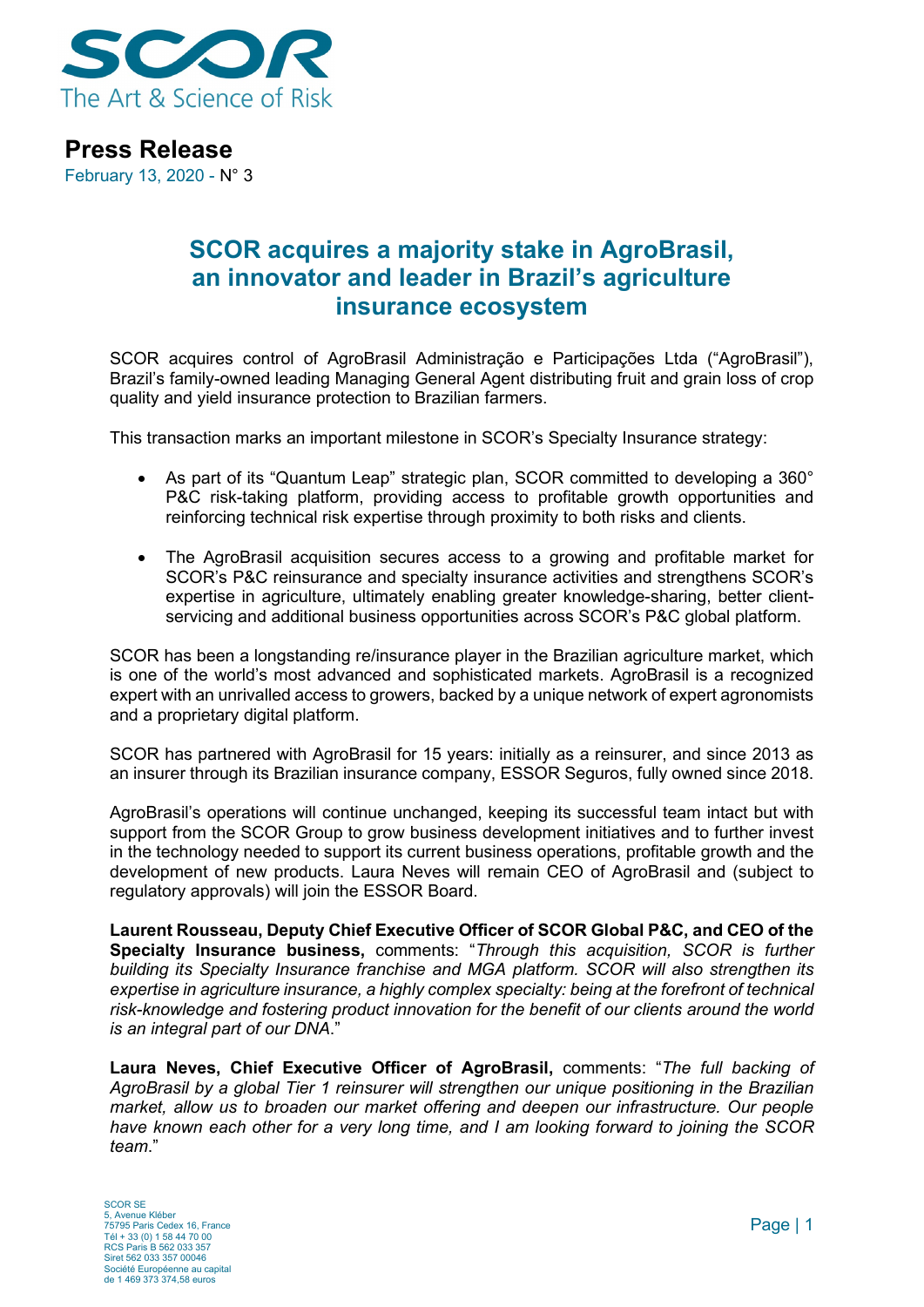

## **Press Release**

February 13, 2020 - N° 3

## **SCOR acquires a majority stake in AgroBrasil, an innovator and leader in Brazil's agriculture insurance ecosystem**

SCOR acquires control of AgroBrasil Administração e Participações Ltda ("AgroBrasil"), Brazil's family-owned leading Managing General Agent distributing fruit and grain loss of crop quality and yield insurance protection to Brazilian farmers.

This transaction marks an important milestone in SCOR's Specialty Insurance strategy:

- As part of its "Quantum Leap" strategic plan, SCOR committed to developing a 360° P&C risk-taking platform, providing access to profitable growth opportunities and reinforcing technical risk expertise through proximity to both risks and clients.
- The AgroBrasil acquisition secures access to a growing and profitable market for SCOR's P&C reinsurance and specialty insurance activities and strengthens SCOR's expertise in agriculture, ultimately enabling greater knowledge-sharing, better clientservicing and additional business opportunities across SCOR's P&C global platform.

SCOR has been a longstanding re/insurance player in the Brazilian agriculture market, which is one of the world's most advanced and sophisticated markets. AgroBrasil is a recognized expert with an unrivalled access to growers, backed by a unique network of expert agronomists and a proprietary digital platform.

SCOR has partnered with AgroBrasil for 15 years: initially as a reinsurer, and since 2013 as an insurer through its Brazilian insurance company, ESSOR Seguros, fully owned since 2018.

AgroBrasil's operations will continue unchanged, keeping its successful team intact but with support from the SCOR Group to grow business development initiatives and to further invest in the technology needed to support its current business operations, profitable growth and the development of new products. Laura Neves will remain CEO of AgroBrasil and (subject to regulatory approvals) will join the ESSOR Board.

**Laurent Rousseau, Deputy Chief Executive Officer of SCOR Global P&C, and CEO of the Specialty Insurance business,** comments: "*Through this acquisition, SCOR is further building its Specialty Insurance franchise and MGA platform. SCOR will also strengthen its expertise in agriculture insurance, a highly complex specialty: being at the forefront of technical risk-knowledge and fostering product innovation for the benefit of our clients around the world is an integral part of our DNA*."

**Laura Neves, Chief Executive Officer of AgroBrasil,** comments: "*The full backing of AgroBrasil by a global Tier 1 reinsurer will strengthen our unique positioning in the Brazilian market, allow us to broaden our market offering and deepen our infrastructure. Our people have known each other for a very long time, and I am looking forward to joining the SCOR team*."